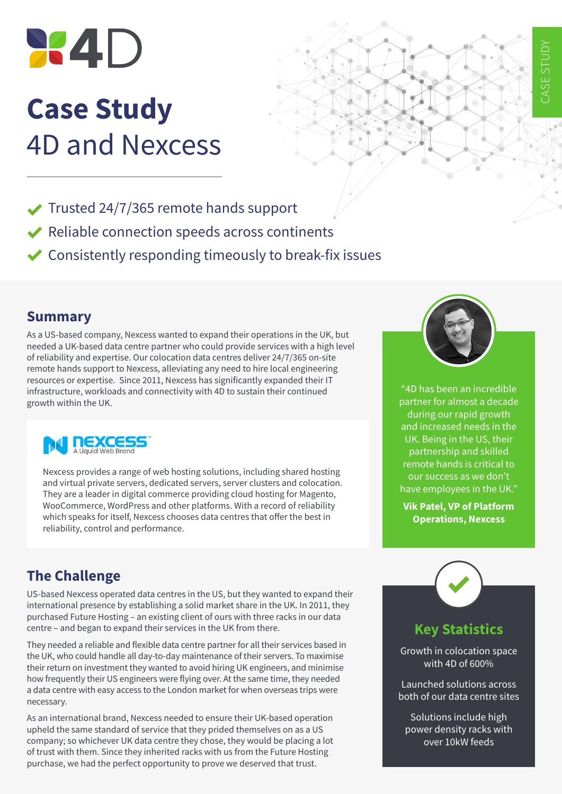

# **Case Study** 4D and Nexcess



- ◆ Trusted 24/7/365 remote hands support
- $\blacktriangleright$  Reliable connection speeds across continents
- $\triangleright$  Consistently responding timeously to break-fix issues

#### **Summary**

As a US-based company, Nexcess wanted to expand their operations in the UK, but needed a UK-based data centre partner who could provide services with a high level of reliability and expertise. Our colocation data centres deliver 24/7/365 on-site remote hands support to Nexcess, alleviating any need to hire local engineering resources or expertise. Since 2011, Nexcess has significantly expanded their IT infrastructure, workloads and connectivity with 4D to sustain their continued growth within the UK.



Nexcess provides a range of web hosting solutions, including shared hosting and virtual private servers, dedicated servers, server clusters and colocation. They are a leader in digital commerce providing cloud hosting for Magento, WooCommerce, WordPress and other platforms. With a record of reliability which speaks for itself, Nexcess chooses data centres that offer the best in reliability, control and performance.

# **The Challenge**

US-based Nexcess operated data centres in the US, but they wanted to expand their international presence by establishing a solid market share in the UK. In 2011, they purchased Future Hosting – an existing client of ours with three racks in our data centre – and began to expand their services in the UK from there.

They needed a reliable and flexible data centre partner for all their services based in the UK, who could handle all day-to-day maintenance of their servers. To maximise their return on investment they wanted to avoid hiring UK engineers, and minimise how frequently their US engineers were flying over. At the same time, they needed a data centre with easy access to the London market for when overseas trips were necessary.

As an international brand, Nexcess needed to ensure their UK-based operation upheld the same standard of service that they prided themselves on as a US company; so whichever UK data centre they chose, they would be placing a lot of trust with them. Since they inherited racks with us from the Future Hosting purchase, we had the perfect opportunity to prove we deserved that trust.



"4D has been an incredible partner for almost a decade during our rapid growth and increased needs in the UK. Being in the US, their partnership and skilled remote hands is critical to our success as we don't have employees in the UK."

**Vik Patel, VP of Platform Operations, Nexcess**



## **Key Statistics**

Growth in colocation space with 4D of 600%

Launched solutions across both of our data centre sites

Solutions include high power density racks with over 10kW feeds